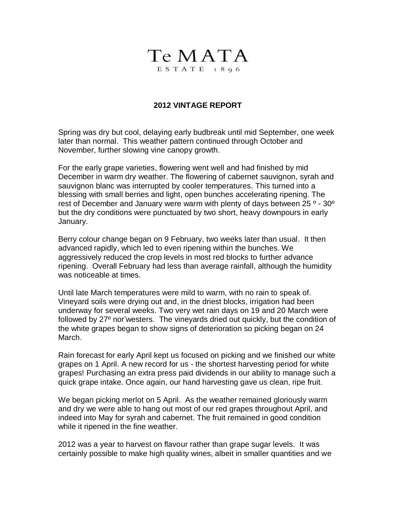

## **2012 VINTAGE REPORT**

Spring was dry but cool, delaying early budbreak until mid September, one week later than normal. This weather pattern continued through October and November, further slowing vine canopy growth.

For the early grape varieties, flowering went well and had finished by mid December in warm dry weather. The flowering of cabernet sauvignon, syrah and sauvignon blanc was interrupted by cooler temperatures. This turned into a blessing with small berries and light, open bunches accelerating ripening. The rest of December and January were warm with plenty of days between 25 º - 30º but the dry conditions were punctuated by two short, heavy downpours in early January.

Berry colour change began on 9 February, two weeks later than usual. It then advanced rapidly, which led to even ripening within the bunches. We aggressively reduced the crop levels in most red blocks to further advance ripening. Overall February had less than average rainfall, although the humidity was noticeable at times.

Until late March temperatures were mild to warm, with no rain to speak of. Vineyard soils were drying out and, in the driest blocks, irrigation had been underway for several weeks. Two very wet rain days on 19 and 20 March were followed by 27º nor'westers. The vineyards dried out quickly, but the condition of the white grapes began to show signs of deterioration so picking began on 24 March.

Rain forecast for early April kept us focused on picking and we finished our white grapes on 1 April. A new record for us - the shortest harvesting period for white grapes! Purchasing an extra press paid dividends in our ability to manage such a quick grape intake. Once again, our hand harvesting gave us clean, ripe fruit.

We began picking merlot on 5 April. As the weather remained gloriously warm and dry we were able to hang out most of our red grapes throughout April, and indeed into May for syrah and cabernet. The fruit remained in good condition while it ripened in the fine weather.

2012 was a year to harvest on flavour rather than grape sugar levels. It was certainly possible to make high quality wines, albeit in smaller quantities and we